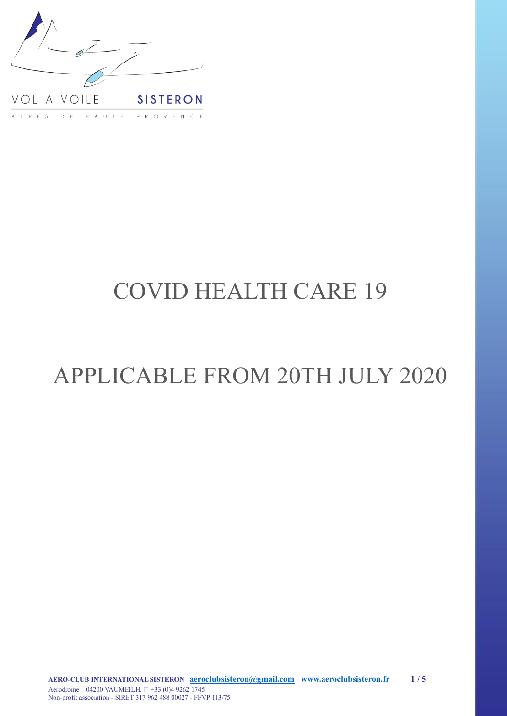

# COVID HEALTH CARE 19

# APPLICABLE FROM 20TH JULY 2020

**AERO-CLUB INTERNATIONAL SISTERON [aeroclubsisteron@gmail.com www.aeroclubsisteron.fr](http://a8eadb610569a706f214e6944326247b06c29860/mailto%3Aaeroclubsisteron%40gmail.com%2520%2520%2520www.aeroclubsisteron.fr%2520)  1 / 5** Aerodrome – 04200 VAUMEILH.  $\Box$  +33 (0)4 9262 1745 Non-profit association - SIRET 317 962 488 00027 - FFVP 113/75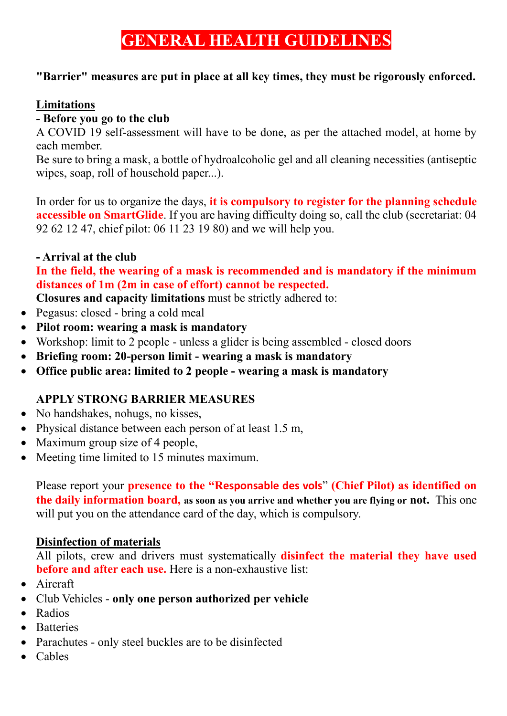# **GENERAL HEALTH GUIDELINES**

### **"Barrier" measures are put in place at all key times, they must be rigorously enforced.**

### **Limitations**

### **- Before you go to the club**

A COVID 19 self-assessment will have to be done, as per the attached model, at home by each member.

Be sure to bring a mask, a bottle of hydroalcoholic gel and all cleaning necessities (antiseptic wipes, soap, roll of household paper...).

In order for us to organize the days, **it is compulsory to register for the planning schedule accessible on SmartGlide**. If you are having difficulty doing so, call the club (secretariat: 04 92 62 12 47, chief pilot: 06 11 23 19 80) and we will help you.

### **- Arrival at the club**

**In the field, the wearing of a mask is recommended and is mandatory if the minimum distances of 1m (2m in case of effort) cannot be respected.**

**Closures and capacity limitations** must be strictly adhered to:

- Pegasus: closed bring a cold meal
- **Pilot room: wearing a mask is mandatory**
- Workshop: limit to 2 people unless a glider is being assembled closed doors
- **Briefing room: 20-person limit - wearing a mask is mandatory**
- **Office public area: limited to 2 people - wearing a mask is mandatory**

### **APPLY STRONG BARRIER MEASURES**

- No handshakes, nohugs, no kisses,
- Physical distance between each person of at least 1.5 m,
- Maximum group size of 4 people,
- Meeting time limited to 15 minutes maximum.

Please report your **presence to the "Responsable des vols**" **(Chief Pilot) as identified on the daily information board, as soon as you arrive and whether you are flying or not.** This one will put you on the attendance card of the day, which is compulsory.

### **Disinfection of materials**

All pilots, crew and drivers must systematically **disinfect the material they have used before and after each use.** Here is a non-exhaustive list:

- Aircraft
- Club Vehicles **only one person authorized per vehicle**
- Radios
- Batteries
- Parachutes only steel buckles are to be disinfected
- Cables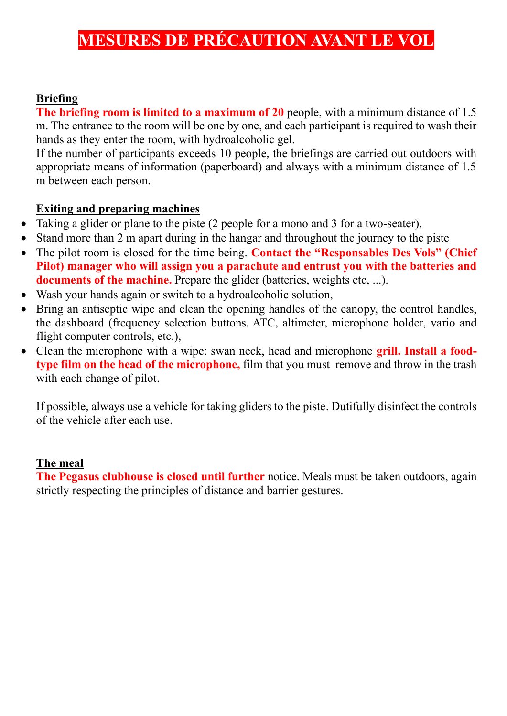## **MESURES DE PRÉCAUTION AVANT LE VOL**

#### **Briefing**

**The briefing room is limited to a maximum of 20** people, with a minimum distance of 1.5 m. The entrance to the room will be one by one, and each participant is required to wash their hands as they enter the room, with hydroalcoholic gel.

If the number of participants exceeds 10 people, the briefings are carried out outdoors with appropriate means of information (paperboard) and always with a minimum distance of 1.5 m between each person.

#### **Exiting and preparing machines**

- Taking a glider or plane to the piste (2 people for a mono and 3 for a two-seater),
- Stand more than 2 m apart during in the hangar and throughout the journey to the piste
- The pilot room is closed for the time being. **Contact the "Responsables Des Vols" (Chief Pilot) manager who will assign you a parachute and entrust you with the batteries and documents of the machine.** Prepare the glider (batteries, weights etc, ...).
- Wash your hands again or switch to a hydroalcoholic solution,
- Bring an antiseptic wipe and clean the opening handles of the canopy, the control handles, the dashboard (frequency selection buttons, ATC, altimeter, microphone holder, vario and flight computer controls, etc.),
- Clean the microphone with a wipe: swan neck, head and microphone **grill. Install a foodtype film on the head of the microphone,** film that you must remove and throw in the trash with each change of pilot.

If possible, always use a vehicle for taking gliders to the piste. Dutifully disinfect the controls of the vehicle after each use.

#### **The meal**

**The Pegasus clubhouse is closed until further** notice. Meals must be taken outdoors, again strictly respecting the principles of distance and barrier gestures.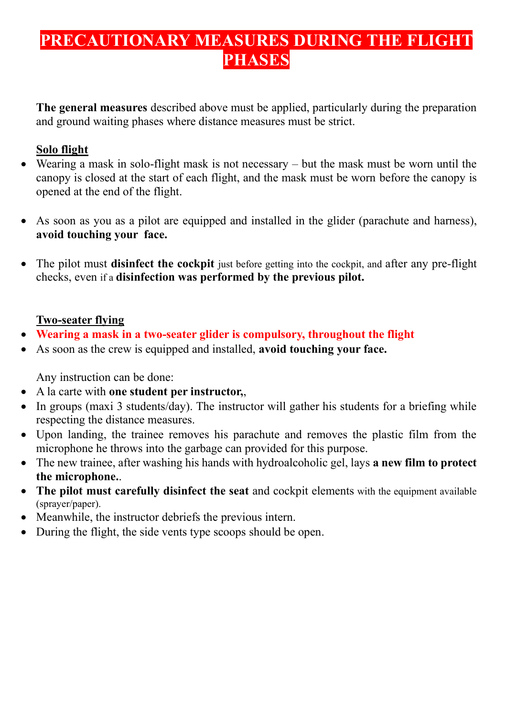# **PRECAUTIONARY MEASURES DURING THE FLIGHT PHASES**

**The general measures** described above must be applied, particularly during the preparation and ground waiting phases where distance measures must be strict.

### **Solo flight**

- Wearing a mask in solo-flight mask is not necessary but the mask must be worn until the canopy is closed at the start of each flight, and the mask must be worn before the canopy is opened at the end of the flight.
- As soon as you as a pilot are equipped and installed in the glider (parachute and harness), **avoid touching your face.**
- The pilot must **disinfect the cockpit** just before getting into the cockpit, and after any pre-flight checks, even if a **disinfection was performed by the previous pilot.**

### **Two-seater flying**

- **Wearing a mask in a two-seater glider is compulsory, throughout the flight**
- As soon as the crew is equipped and installed, **avoid touching your face.**

Any instruction can be done:

- A la carte with **one student per instructor,**,
- In groups (maxi 3 students/day). The instructor will gather his students for a briefing while respecting the distance measures.
- Upon landing, the trainee removes his parachute and removes the plastic film from the microphone he throws into the garbage can provided for this purpose.
- The new trainee, after washing his hands with hydroalcoholic gel, lays **a new film to protect the microphone.**.
- **The pilot must carefully disinfect the seat** and cockpit elements with the equipment available (sprayer/paper).
- Meanwhile, the instructor debriefs the previous intern.
- During the flight, the side vents type scoops should be open.